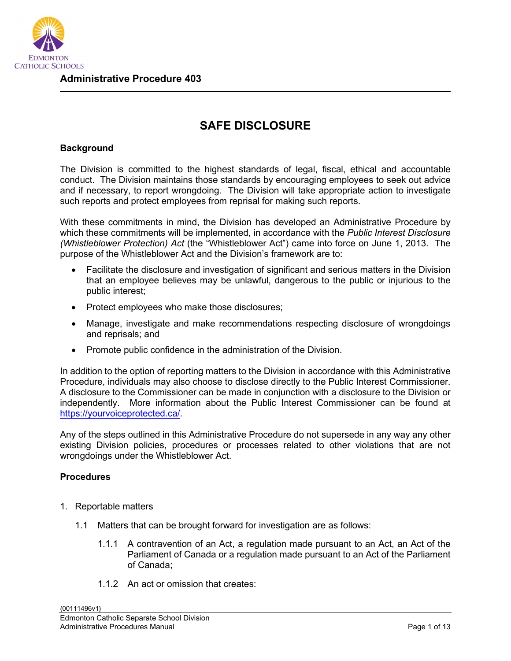

# **SAFE DISCLOSURE**

### **Background**

The Division is committed to the highest standards of legal, fiscal, ethical and accountable conduct. The Division maintains those standards by encouraging employees to seek out advice and if necessary, to report wrongdoing. The Division will take appropriate action to investigate such reports and protect employees from reprisal for making such reports.

With these commitments in mind, the Division has developed an Administrative Procedure by which these commitments will be implemented, in accordance with the *Public Interest Disclosure (Whistleblower Protection) Act* (the "Whistleblower Act") came into force on June 1, 2013. The purpose of the Whistleblower Act and the Division's framework are to:

- Facilitate the disclosure and investigation of significant and serious matters in the Division that an employee believes may be unlawful, dangerous to the public or injurious to the public interest;
- Protect employees who make those disclosures;
- Manage, investigate and make recommendations respecting disclosure of wrongdoings and reprisals; and
- Promote public confidence in the administration of the Division.

In addition to the option of reporting matters to the Division in accordance with this Administrative Procedure, individuals may also choose to disclose directly to the Public Interest Commissioner. A disclosure to the Commissioner can be made in conjunction with a disclosure to the Division or independently. More information about the Public Interest Commissioner can be found at [https://yourvoiceprotected.ca/.](https://yourvoiceprotected.ca/)

Any of the steps outlined in this Administrative Procedure do not supersede in any way any other existing Division policies, procedures or processes related to other violations that are not wrongdoings under the Whistleblower Act.

#### **Procedures**

- 1. Reportable matters
	- 1.1 Matters that can be brought forward for investigation are as follows:
		- 1.1.1 A contravention of an Act, a regulation made pursuant to an Act, an Act of the Parliament of Canada or a regulation made pursuant to an Act of the Parliament of Canada;
		- 1.1.2 An act or omission that creates: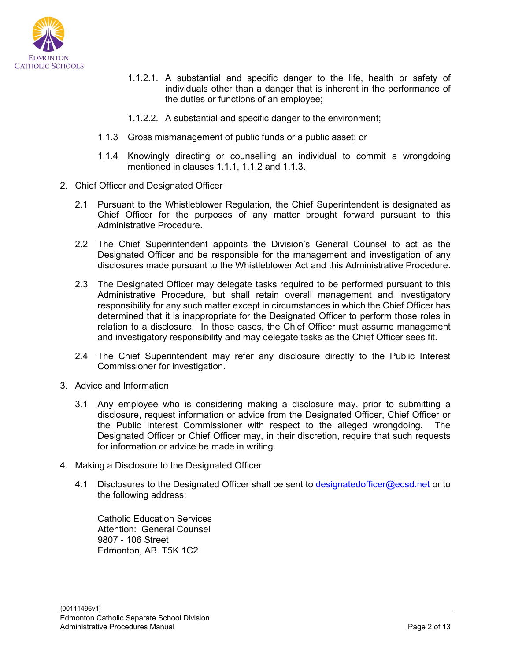

- 1.1.2.1. A substantial and specific danger to the life, health or safety of individuals other than a danger that is inherent in the performance of the duties or functions of an employee;
- 1.1.2.2. A substantial and specific danger to the environment;
- 1.1.3 Gross mismanagement of public funds or a public asset; or
- 1.1.4 Knowingly directing or counselling an individual to commit a wrongdoing mentioned in clauses 1.1.1, 1.1.2 and 1.1.3.
- 2. Chief Officer and Designated Officer
	- 2.1 Pursuant to the Whistleblower Regulation, the Chief Superintendent is designated as Chief Officer for the purposes of any matter brought forward pursuant to this Administrative Procedure.
	- 2.2 The Chief Superintendent appoints the Division's General Counsel to act as the Designated Officer and be responsible for the management and investigation of any disclosures made pursuant to the Whistleblower Act and this Administrative Procedure.
	- 2.3 The Designated Officer may delegate tasks required to be performed pursuant to this Administrative Procedure, but shall retain overall management and investigatory responsibility for any such matter except in circumstances in which the Chief Officer has determined that it is inappropriate for the Designated Officer to perform those roles in relation to a disclosure. In those cases, the Chief Officer must assume management and investigatory responsibility and may delegate tasks as the Chief Officer sees fit.
	- 2.4 The Chief Superintendent may refer any disclosure directly to the Public Interest Commissioner for investigation.
- 3. Advice and Information
	- 3.1 Any employee who is considering making a disclosure may, prior to submitting a disclosure, request information or advice from the Designated Officer, Chief Officer or the Public Interest Commissioner with respect to the alleged wrongdoing. The Designated Officer or Chief Officer may, in their discretion, require that such requests for information or advice be made in writing.
- 4. Making a Disclosure to the Designated Officer
	- 4.1 Disclosures to the Designated Officer shall be sent to [designatedofficer@ecsd.net](mailto:designatedofficer@ecsd.net) or to the following address:

Catholic Education Services Attention: General Counsel 9807 - 106 Street Edmonton, AB T5K 1C2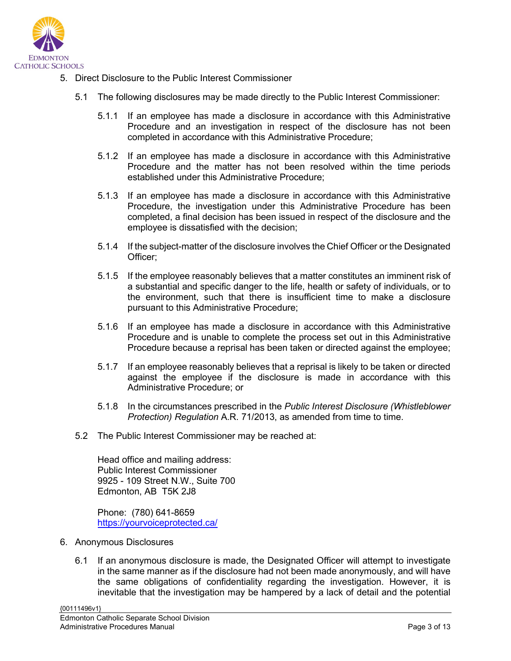

- 5. Direct Disclosure to the Public Interest Commissioner
	- 5.1 The following disclosures may be made directly to the Public Interest Commissioner:
		- 5.1.1 If an employee has made a disclosure in accordance with this Administrative Procedure and an investigation in respect of the disclosure has not been completed in accordance with this Administrative Procedure;
		- 5.1.2 If an employee has made a disclosure in accordance with this Administrative Procedure and the matter has not been resolved within the time periods established under this Administrative Procedure;
		- 5.1.3 If an employee has made a disclosure in accordance with this Administrative Procedure, the investigation under this Administrative Procedure has been completed, a final decision has been issued in respect of the disclosure and the employee is dissatisfied with the decision;
		- 5.1.4 If the subject-matter of the disclosure involves the Chief Officer or the Designated Officer;
		- 5.1.5 If the employee reasonably believes that a matter constitutes an imminent risk of a substantial and specific danger to the life, health or safety of individuals, or to the environment, such that there is insufficient time to make a disclosure pursuant to this Administrative Procedure;
		- 5.1.6 If an employee has made a disclosure in accordance with this Administrative Procedure and is unable to complete the process set out in this Administrative Procedure because a reprisal has been taken or directed against the employee;
		- 5.1.7 If an employee reasonably believes that a reprisal is likely to be taken or directed against the employee if the disclosure is made in accordance with this Administrative Procedure; or
		- 5.1.8 In the circumstances prescribed in the *Public Interest Disclosure (Whistleblower Protection) Regulation A.R. 71/2013, as amended from time to time.*
	- 5.2 The Public Interest Commissioner may be reached at:

Head office and mailing address: Public Interest Commissioner 9925 - 109 Street N.W., Suite 700 Edmonton, AB T5K 2J8

Phone: (780) 641-8659 <https://yourvoiceprotected.ca/>

- 6. Anonymous Disclosures
	- 6.1 If an anonymous disclosure is made, the Designated Officer will attempt to investigate in the same manner as if the disclosure had not been made anonymously, and will have the same obligations of confidentiality regarding the investigation. However, it is inevitable that the investigation may be hampered by a lack of detail and the potential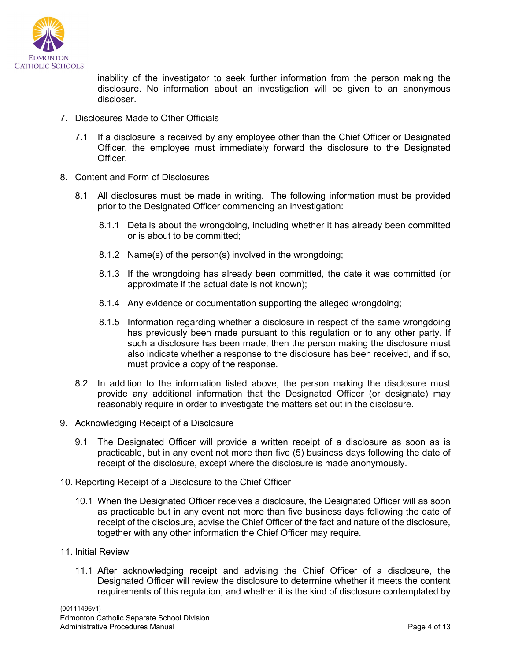

inability of the investigator to seek further information from the person making the disclosure. No information about an investigation will be given to an anonymous discloser.

- 7. Disclosures Made to Other Officials
	- 7.1 If a disclosure is received by any employee other than the Chief Officer or Designated Officer, the employee must immediately forward the disclosure to the Designated Officer.
- 8. Content and Form of Disclosures
	- 8.1 All disclosures must be made in writing. The following information must be provided prior to the Designated Officer commencing an investigation:
		- 8.1.1 Details about the wrongdoing, including whether it has already been committed or is about to be committed;
		- 8.1.2 Name(s) of the person(s) involved in the wrongdoing;
		- 8.1.3 If the wrongdoing has already been committed, the date it was committed (or approximate if the actual date is not known);
		- 8.1.4 Any evidence or documentation supporting the alleged wrongdoing;
		- 8.1.5 Information regarding whether a disclosure in respect of the same wrongdoing has previously been made pursuant to this regulation or to any other party. If such a disclosure has been made, then the person making the disclosure must also indicate whether a response to the disclosure has been received, and if so, must provide a copy of the response.
	- 8.2 In addition to the information listed above, the person making the disclosure must provide any additional information that the Designated Officer (or designate) may reasonably require in order to investigate the matters set out in the disclosure.
- 9. Acknowledging Receipt of a Disclosure
	- 9.1 The Designated Officer will provide a written receipt of a disclosure as soon as is practicable, but in any event not more than five (5) business days following the date of receipt of the disclosure, except where the disclosure is made anonymously.
- 10. Reporting Receipt of a Disclosure to the Chief Officer
	- 10.1 When the Designated Officer receives a disclosure, the Designated Officer will as soon as practicable but in any event not more than five business days following the date of receipt of the disclosure, advise the Chief Officer of the fact and nature of the disclosure, together with any other information the Chief Officer may require.
- 11. Initial Review
	- 11.1 After acknowledging receipt and advising the Chief Officer of a disclosure, the Designated Officer will review the disclosure to determine whether it meets the content requirements of this regulation, and whether it is the kind of disclosure contemplated by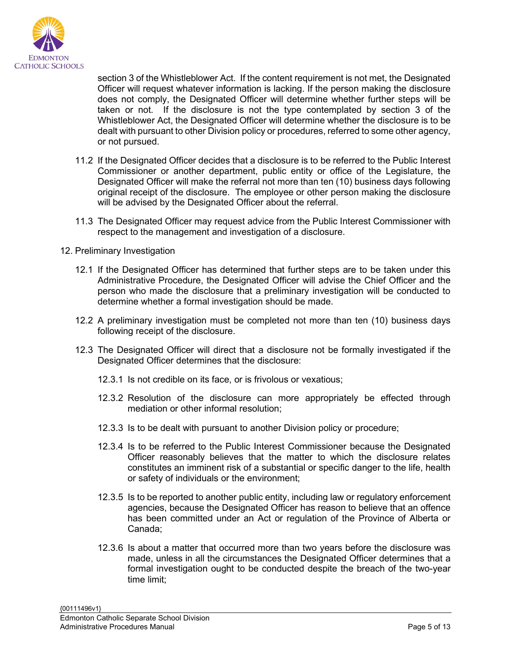

section 3 of the Whistleblower Act. If the content requirement is not met, the Designated Officer will request whatever information is lacking. If the person making the disclosure does not comply, the Designated Officer will determine whether further steps will be taken or not. If the disclosure is not the type contemplated by section 3 of the Whistleblower Act, the Designated Officer will determine whether the disclosure is to be dealt with pursuant to other Division policy or procedures, referred to some other agency, or not pursued.

- 11.2 If the Designated Officer decides that a disclosure is to be referred to the Public Interest Commissioner or another department, public entity or office of the Legislature, the Designated Officer will make the referral not more than ten (10) business days following original receipt of the disclosure. The employee or other person making the disclosure will be advised by the Designated Officer about the referral.
- 11.3 The Designated Officer may request advice from the Public Interest Commissioner with respect to the management and investigation of a disclosure.
- 12. Preliminary Investigation
	- 12.1 If the Designated Officer has determined that further steps are to be taken under this Administrative Procedure, the Designated Officer will advise the Chief Officer and the person who made the disclosure that a preliminary investigation will be conducted to determine whether a formal investigation should be made.
	- 12.2 A preliminary investigation must be completed not more than ten (10) business days following receipt of the disclosure.
	- 12.3 The Designated Officer will direct that a disclosure not be formally investigated if the Designated Officer determines that the disclosure:
		- 12.3.1 Is not credible on its face, or is frivolous or vexatious;
		- 12.3.2 Resolution of the disclosure can more appropriately be effected through mediation or other informal resolution;
		- 12.3.3 Is to be dealt with pursuant to another Division policy or procedure;
		- 12.3.4 Is to be referred to the Public Interest Commissioner because the Designated Officer reasonably believes that the matter to which the disclosure relates constitutes an imminent risk of a substantial or specific danger to the life, health or safety of individuals or the environment;
		- 12.3.5 Is to be reported to another public entity, including law or regulatory enforcement agencies, because the Designated Officer has reason to believe that an offence has been committed under an Act or regulation of the Province of Alberta or Canada;
		- 12.3.6 Is about a matter that occurred more than two years before the disclosure was made, unless in all the circumstances the Designated Officer determines that a formal investigation ought to be conducted despite the breach of the two-year time limit;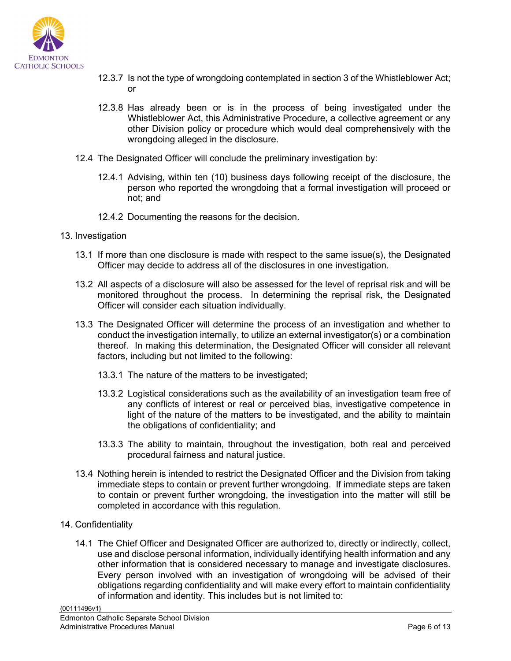

- 12.3.7 Is not the type of wrongdoing contemplated in section 3 of the Whistleblower Act; or
- 12.3.8 Has already been or is in the process of being investigated under the Whistleblower Act, this Administrative Procedure, a collective agreement or any other Division policy or procedure which would deal comprehensively with the wrongdoing alleged in the disclosure.
- 12.4 The Designated Officer will conclude the preliminary investigation by:
	- 12.4.1 Advising, within ten (10) business days following receipt of the disclosure, the person who reported the wrongdoing that a formal investigation will proceed or not; and
	- 12.4.2 Documenting the reasons for the decision.
- 13. Investigation
	- 13.1 If more than one disclosure is made with respect to the same issue(s), the Designated Officer may decide to address all of the disclosures in one investigation.
	- 13.2 All aspects of a disclosure will also be assessed for the level of reprisal risk and will be monitored throughout the process. In determining the reprisal risk, the Designated Officer will consider each situation individually.
	- 13.3 The Designated Officer will determine the process of an investigation and whether to conduct the investigation internally, to utilize an external investigator(s) or a combination thereof. In making this determination, the Designated Officer will consider all relevant factors, including but not limited to the following:
		- 13.3.1 The nature of the matters to be investigated;
		- 13.3.2 Logistical considerations such as the availability of an investigation team free of any conflicts of interest or real or perceived bias, investigative competence in light of the nature of the matters to be investigated, and the ability to maintain the obligations of confidentiality; and
		- 13.3.3 The ability to maintain, throughout the investigation, both real and perceived procedural fairness and natural justice.
	- 13.4 Nothing herein is intended to restrict the Designated Officer and the Division from taking immediate steps to contain or prevent further wrongdoing. If immediate steps are taken to contain or prevent further wrongdoing, the investigation into the matter will still be completed in accordance with this regulation.
- 14. Confidentiality
	- 14.1 The Chief Officer and Designated Officer are authorized to, directly or indirectly, collect, use and disclose personal information, individually identifying health information and any other information that is considered necessary to manage and investigate disclosures. Every person involved with an investigation of wrongdoing will be advised of their obligations regarding confidentiality and will make every effort to maintain confidentiality of information and identity. This includes but is not limited to: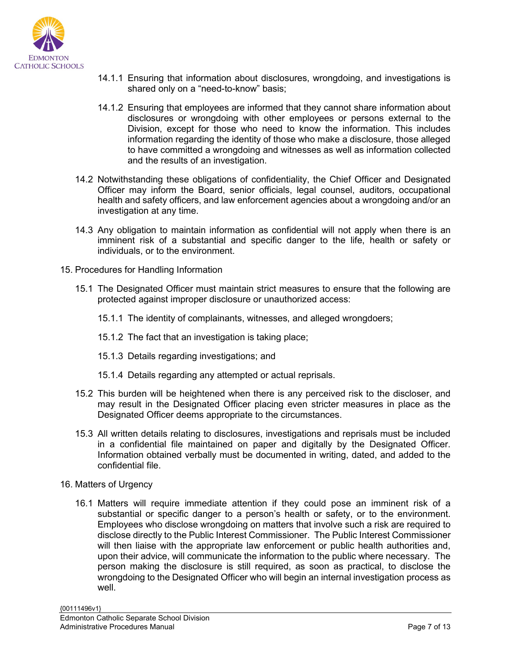

- 14.1.1 Ensuring that information about disclosures, wrongdoing, and investigations is shared only on a "need-to-know" basis;
- 14.1.2 Ensuring that employees are informed that they cannot share information about disclosures or wrongdoing with other employees or persons external to the Division, except for those who need to know the information. This includes information regarding the identity of those who make a disclosure, those alleged to have committed a wrongdoing and witnesses as well as information collected and the results of an investigation.
- 14.2 Notwithstanding these obligations of confidentiality, the Chief Officer and Designated Officer may inform the Board, senior officials, legal counsel, auditors, occupational health and safety officers, and law enforcement agencies about a wrongdoing and/or an investigation at any time.
- 14.3 Any obligation to maintain information as confidential will not apply when there is an imminent risk of a substantial and specific danger to the life, health or safety or individuals, or to the environment.
- 15. Procedures for Handling Information
	- 15.1 The Designated Officer must maintain strict measures to ensure that the following are protected against improper disclosure or unauthorized access:
		- 15.1.1 The identity of complainants, witnesses, and alleged wrongdoers;
		- 15.1.2 The fact that an investigation is taking place;
		- 15.1.3 Details regarding investigations; and
		- 15.1.4 Details regarding any attempted or actual reprisals.
	- 15.2 This burden will be heightened when there is any perceived risk to the discloser, and may result in the Designated Officer placing even stricter measures in place as the Designated Officer deems appropriate to the circumstances.
	- 15.3 All written details relating to disclosures, investigations and reprisals must be included in a confidential file maintained on paper and digitally by the Designated Officer. Information obtained verbally must be documented in writing, dated, and added to the confidential file.
- 16. Matters of Urgency
	- 16.1 Matters will require immediate attention if they could pose an imminent risk of a substantial or specific danger to a person's health or safety, or to the environment. Employees who disclose wrongdoing on matters that involve such a risk are required to disclose directly to the Public Interest Commissioner. The Public Interest Commissioner will then liaise with the appropriate law enforcement or public health authorities and, upon their advice, will communicate the information to the public where necessary. The person making the disclosure is still required, as soon as practical, to disclose the wrongdoing to the Designated Officer who will begin an internal investigation process as well.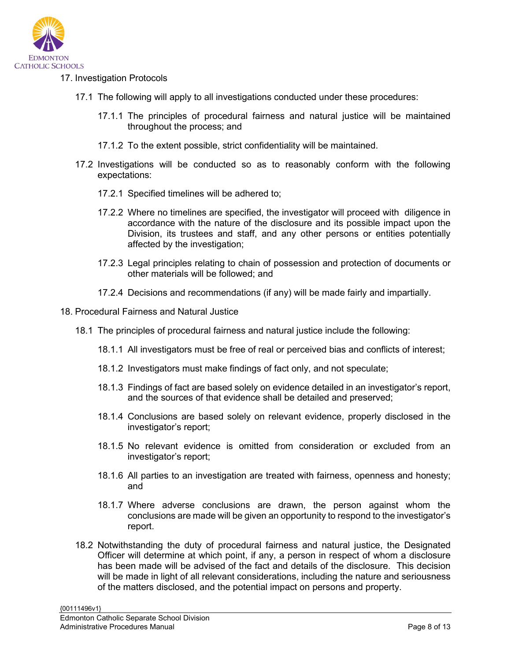

## 17. Investigation Protocols

- 17.1 The following will apply to all investigations conducted under these procedures:
	- 17.1.1 The principles of procedural fairness and natural justice will be maintained throughout the process; and
	- 17.1.2 To the extent possible, strict confidentiality will be maintained.
- 17.2 Investigations will be conducted so as to reasonably conform with the following expectations:
	- 17.2.1 Specified timelines will be adhered to;
	- 17.2.2 Where no timelines are specified, the investigator will proceed with diligence in accordance with the nature of the disclosure and its possible impact upon the Division, its trustees and staff, and any other persons or entities potentially affected by the investigation;
	- 17.2.3 Legal principles relating to chain of possession and protection of documents or other materials will be followed; and
	- 17.2.4 Decisions and recommendations (if any) will be made fairly and impartially.
- 18. Procedural Fairness and Natural Justice
	- 18.1 The principles of procedural fairness and natural justice include the following:
		- 18.1.1 All investigators must be free of real or perceived bias and conflicts of interest;
		- 18.1.2 Investigators must make findings of fact only, and not speculate;
		- 18.1.3 Findings of fact are based solely on evidence detailed in an investigator's report, and the sources of that evidence shall be detailed and preserved;
		- 18.1.4 Conclusions are based solely on relevant evidence, properly disclosed in the investigator's report;
		- 18.1.5 No relevant evidence is omitted from consideration or excluded from an investigator's report;
		- 18.1.6 All parties to an investigation are treated with fairness, openness and honesty; and
		- 18.1.7 Where adverse conclusions are drawn, the person against whom the conclusions are made will be given an opportunity to respond to the investigator's report.
	- 18.2 Notwithstanding the duty of procedural fairness and natural justice, the Designated Officer will determine at which point, if any, a person in respect of whom a disclosure has been made will be advised of the fact and details of the disclosure. This decision will be made in light of all relevant considerations, including the nature and seriousness of the matters disclosed, and the potential impact on persons and property.

{00111496v1}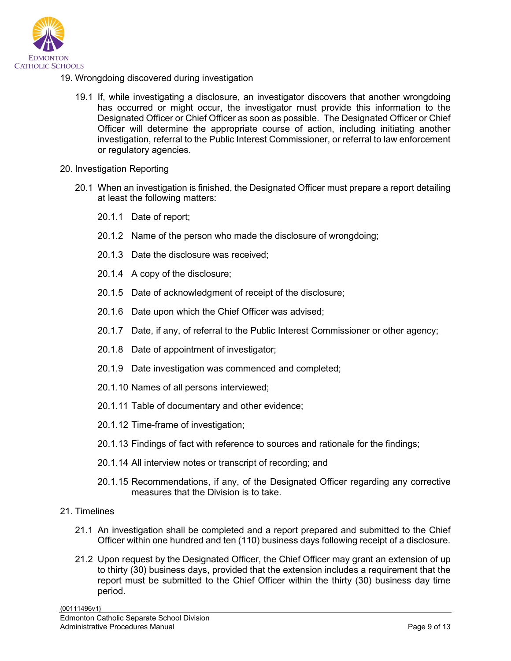

- 19. Wrongdoing discovered during investigation
	- 19.1 If, while investigating a disclosure, an investigator discovers that another wrongdoing has occurred or might occur, the investigator must provide this information to the Designated Officer or Chief Officer as soon as possible. The Designated Officer or Chief Officer will determine the appropriate course of action, including initiating another investigation, referral to the Public Interest Commissioner, or referral to law enforcement or regulatory agencies.
- 20. Investigation Reporting
	- 20.1 When an investigation is finished, the Designated Officer must prepare a report detailing at least the following matters:
		- 20.1.1 Date of report;
		- 20.1.2 Name of the person who made the disclosure of wrongdoing;
		- 20.1.3 Date the disclosure was received;
		- 20.1.4 A copy of the disclosure;
		- 20.1.5 Date of acknowledgment of receipt of the disclosure;
		- 20.1.6 Date upon which the Chief Officer was advised;
		- 20.1.7 Date, if any, of referral to the Public Interest Commissioner or other agency;
		- 20.1.8 Date of appointment of investigator;
		- 20.1.9 Date investigation was commenced and completed;
		- 20.1.10 Names of all persons interviewed;
		- 20.1.11 Table of documentary and other evidence;
		- 20.1.12 Time-frame of investigation;
		- 20.1.13 Findings of fact with reference to sources and rationale for the findings;
		- 20.1.14 All interview notes or transcript of recording; and
		- 20.1.15 Recommendations, if any, of the Designated Officer regarding any corrective measures that the Division is to take.
- 21. Timelines
	- 21.1 An investigation shall be completed and a report prepared and submitted to the Chief Officer within one hundred and ten (110) business days following receipt of a disclosure.
	- 21.2 Upon request by the Designated Officer, the Chief Officer may grant an extension of up to thirty (30) business days, provided that the extension includes a requirement that the report must be submitted to the Chief Officer within the thirty (30) business day time period.

{00111496v1}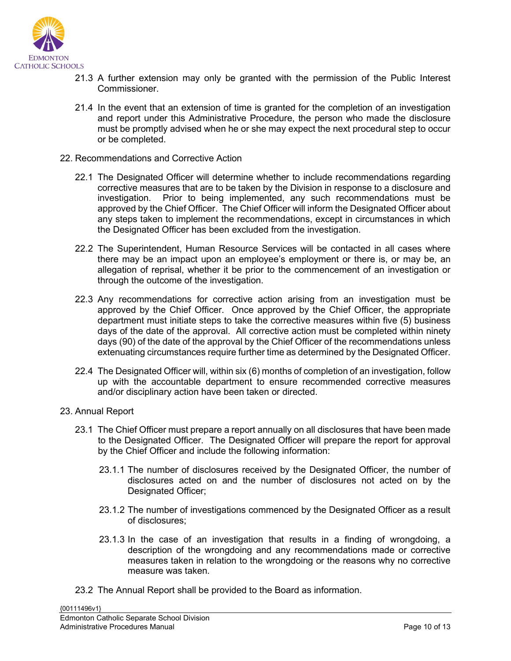

- 21.3 A further extension may only be granted with the permission of the Public Interest Commissioner.
- 21.4 In the event that an extension of time is granted for the completion of an investigation and report under this Administrative Procedure, the person who made the disclosure must be promptly advised when he or she may expect the next procedural step to occur or be completed.
- 22. Recommendations and Corrective Action
	- 22.1 The Designated Officer will determine whether to include recommendations regarding corrective measures that are to be taken by the Division in response to a disclosure and investigation. Prior to being implemented, any such recommendations must be approved by the Chief Officer. The Chief Officer will inform the Designated Officer about any steps taken to implement the recommendations, except in circumstances in which the Designated Officer has been excluded from the investigation.
	- 22.2 The Superintendent, Human Resource Services will be contacted in all cases where there may be an impact upon an employee's employment or there is, or may be, an allegation of reprisal, whether it be prior to the commencement of an investigation or through the outcome of the investigation.
	- 22.3 Any recommendations for corrective action arising from an investigation must be approved by the Chief Officer. Once approved by the Chief Officer, the appropriate department must initiate steps to take the corrective measures within five (5) business days of the date of the approval. All corrective action must be completed within ninety days (90) of the date of the approval by the Chief Officer of the recommendations unless extenuating circumstances require further time as determined by the Designated Officer.
	- 22.4 The Designated Officer will, within six (6) months of completion of an investigation, follow up with the accountable department to ensure recommended corrective measures and/or disciplinary action have been taken or directed.
- 23. Annual Report
	- 23.1 The Chief Officer must prepare a report annually on all disclosures that have been made to the Designated Officer. The Designated Officer will prepare the report for approval by the Chief Officer and include the following information:
		- 23.1.1 The number of disclosures received by the Designated Officer, the number of disclosures acted on and the number of disclosures not acted on by the Designated Officer;
		- 23.1.2 The number of investigations commenced by the Designated Officer as a result of disclosures;
		- 23.1.3 In the case of an investigation that results in a finding of wrongdoing, a description of the wrongdoing and any recommendations made or corrective measures taken in relation to the wrongdoing or the reasons why no corrective measure was taken.
	- 23.2 The Annual Report shall be provided to the Board as information.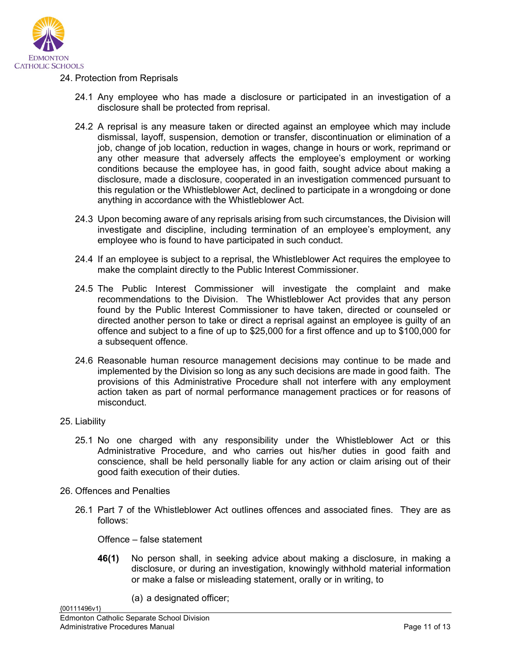

## 24. Protection from Reprisals

- 24.1 Any employee who has made a disclosure or participated in an investigation of a disclosure shall be protected from reprisal.
- 24.2 A reprisal is any measure taken or directed against an employee which may include dismissal, layoff, suspension, demotion or transfer, discontinuation or elimination of a job, change of job location, reduction in wages, change in hours or work, reprimand or any other measure that adversely affects the employee's employment or working conditions because the employee has, in good faith, sought advice about making a disclosure, made a disclosure, cooperated in an investigation commenced pursuant to this regulation or the Whistleblower Act, declined to participate in a wrongdoing or done anything in accordance with the Whistleblower Act.
- 24.3 Upon becoming aware of any reprisals arising from such circumstances, the Division will investigate and discipline, including termination of an employee's employment, any employee who is found to have participated in such conduct.
- 24.4 If an employee is subject to a reprisal, the Whistleblower Act requires the employee to make the complaint directly to the Public Interest Commissioner.
- 24.5 The Public Interest Commissioner will investigate the complaint and make recommendations to the Division. The Whistleblower Act provides that any person found by the Public Interest Commissioner to have taken, directed or counseled or directed another person to take or direct a reprisal against an employee is guilty of an offence and subject to a fine of up to \$25,000 for a first offence and up to \$100,000 for a subsequent offence.
- 24.6 Reasonable human resource management decisions may continue to be made and implemented by the Division so long as any such decisions are made in good faith. The provisions of this Administrative Procedure shall not interfere with any employment action taken as part of normal performance management practices or for reasons of misconduct.

#### 25. Liability

{00111496v1}

- 25.1 No one charged with any responsibility under the Whistleblower Act or this Administrative Procedure, and who carries out his/her duties in good faith and conscience, shall be held personally liable for any action or claim arising out of their good faith execution of their duties.
- 26. Offences and Penalties
	- 26.1 Part 7 of the Whistleblower Act outlines offences and associated fines. They are as follows:

Offence – false statement

- **46(1)** No person shall, in seeking advice about making a disclosure, in making a disclosure, or during an investigation, knowingly withhold material information or make a false or misleading statement, orally or in writing, to
	- (a) a designated officer;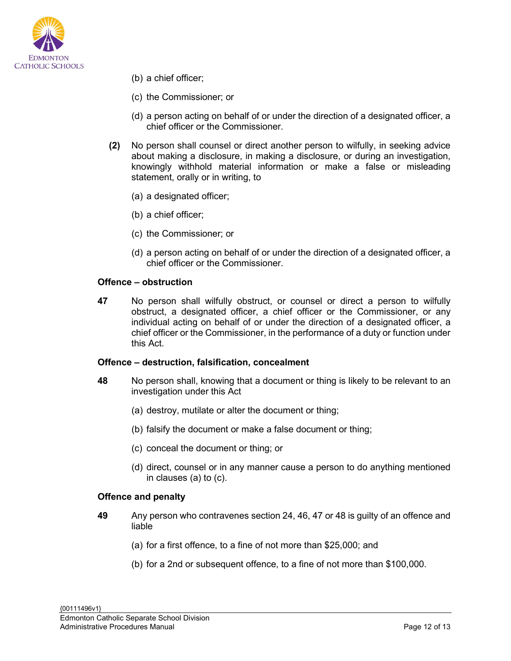

- (b) a chief officer;
- (c) the Commissioner; or
- (d) a person acting on behalf of or under the direction of a designated officer, a chief officer or the Commissioner.
- **(2)** No person shall counsel or direct another person to wilfully, in seeking advice about making a disclosure, in making a disclosure, or during an investigation, knowingly withhold material information or make a false or misleading statement, orally or in writing, to
	- (a) a designated officer;
	- (b) a chief officer;
	- (c) the Commissioner; or
	- (d) a person acting on behalf of or under the direction of a designated officer, a chief officer or the Commissioner.

#### **Offence – obstruction**

**47** No person shall wilfully obstruct, or counsel or direct a person to wilfully obstruct, a designated officer, a chief officer or the Commissioner, or any individual acting on behalf of or under the direction of a designated officer, a chief officer or the Commissioner, in the performance of a duty or function under this Act.

#### **Offence – destruction, falsification, concealment**

- **48** No person shall, knowing that a document or thing is likely to be relevant to an investigation under this Act
	- (a) destroy, mutilate or alter the document or thing;
	- (b) falsify the document or make a false document or thing;
	- (c) conceal the document or thing; or
	- (d) direct, counsel or in any manner cause a person to do anything mentioned in clauses (a) to (c).

#### **Offence and penalty**

- **49** Any person who contravenes section 24, 46, 47 or 48 is guilty of an offence and liable
	- (a) for a first offence, to a fine of not more than \$25,000; and
	- (b) for a 2nd or subsequent offence, to a fine of not more than \$100,000.

{00111496v1} Edmonton Catholic Separate School Division Administrative Procedures Manual Page 12 of 13